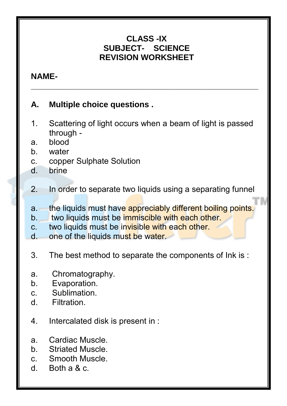## **CLASS -IX SUBJECT- SCIENCE REVISION WORKSHEET**

**\_\_\_\_\_\_\_\_\_\_\_\_\_\_\_\_\_\_\_\_\_\_\_\_\_\_\_\_\_\_\_\_\_\_\_\_\_\_\_\_\_\_\_\_\_\_\_\_\_\_** 

## **NAME-**  $\blacksquare$

## **A. Multiple choice questions .**

- 1. Scattering of light occurs when a beam of light is passed through -
- a. blood
- b. water
- c. copper Sulphate Solution
- d. brine
- 2. In order to separate two liquids using a separating funnel
- a. the liquids must have appreciably different boiling points.
- b. two liquids must be immiscible with each other.
- c. two liquids must be invisible with each other.
- d. one of the liquids must be water.
- 3. The best method to separate the components of Ink is :
- a. Chromatography.
- b. Evaporation.
- c. Sublimation.
- d. Filtration.
- 4. Intercalated disk is present in :
- a. Cardiac Muscle.
- b. Striated Muscle.
- c. Smooth Muscle.
- d. Both a & c.